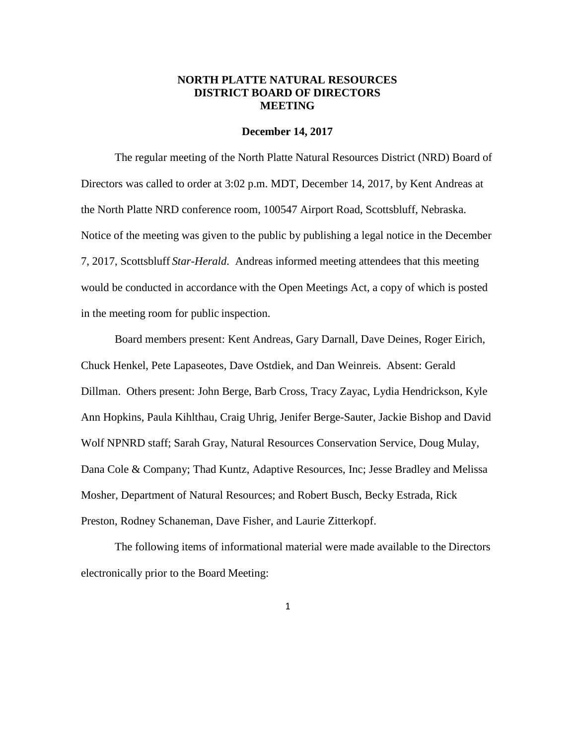# **NORTH PLATTE NATURAL RESOURCES DISTRICT BOARD OF DIRECTORS MEETING**

#### **December 14, 2017**

The regular meeting of the North Platte Natural Resources District (NRD) Board of Directors was called to order at 3:02 p.m. MDT, December 14, 2017, by Kent Andreas at the North Platte NRD conference room, 100547 Airport Road, Scottsbluff, Nebraska. Notice of the meeting was given to the public by publishing a legal notice in the December 7, 2017, Scottsbluff *Star-Herald*. Andreas informed meeting attendees that this meeting would be conducted in accordance with the Open Meetings Act, a copy of which is posted in the meeting room for public inspection.

Board members present: Kent Andreas, Gary Darnall, Dave Deines, Roger Eirich, Chuck Henkel, Pete Lapaseotes, Dave Ostdiek, and Dan Weinreis. Absent: Gerald Dillman. Others present: John Berge, Barb Cross, Tracy Zayac, Lydia Hendrickson, Kyle Ann Hopkins, Paula Kihlthau, Craig Uhrig, Jenifer Berge-Sauter, Jackie Bishop and David Wolf NPNRD staff; Sarah Gray, Natural Resources Conservation Service, Doug Mulay, Dana Cole & Company; Thad Kuntz, Adaptive Resources, Inc; Jesse Bradley and Melissa Mosher, Department of Natural Resources; and Robert Busch, Becky Estrada, Rick Preston, Rodney Schaneman, Dave Fisher, and Laurie Zitterkopf.

The following items of informational material were made available to the Directors electronically prior to the Board Meeting: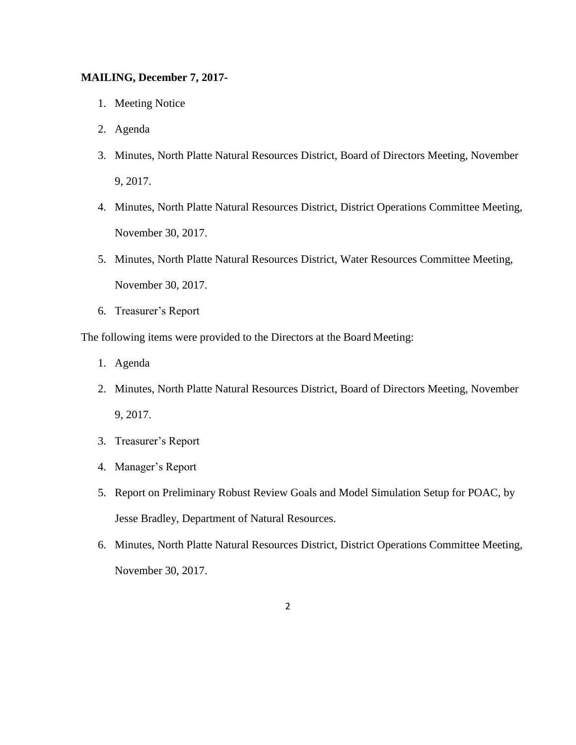# **MAILING, December 7, 2017-**

- 1. Meeting Notice
- 2. Agenda
- 3. Minutes, North Platte Natural Resources District, Board of Directors Meeting, November 9, 2017.
- 4. Minutes, North Platte Natural Resources District, District Operations Committee Meeting, November 30, 2017.
- 5. Minutes, North Platte Natural Resources District, Water Resources Committee Meeting, November 30, 2017.
- 6. Treasurer's Report

The following items were provided to the Directors at the Board Meeting:

- 1. Agenda
- 2. Minutes, North Platte Natural Resources District, Board of Directors Meeting, November 9, 2017.
- 3. Treasurer's Report
- 4. Manager's Report
- 5. Report on Preliminary Robust Review Goals and Model Simulation Setup for POAC, by Jesse Bradley, Department of Natural Resources.
- 6. Minutes, North Platte Natural Resources District, District Operations Committee Meeting, November 30, 2017.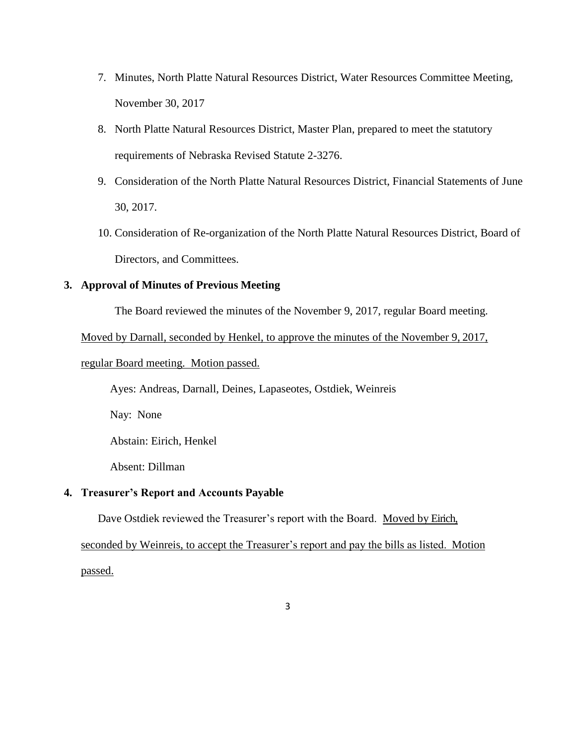- 7. Minutes, North Platte Natural Resources District, Water Resources Committee Meeting, November 30, 2017
- 8. North Platte Natural Resources District, Master Plan, prepared to meet the statutory requirements of Nebraska Revised Statute 2-3276.
- 9. Consideration of the North Platte Natural Resources District, Financial Statements of June 30, 2017.
- 10. Consideration of Re-organization of the North Platte Natural Resources District, Board of Directors, and Committees.

# **3. Approval of Minutes of Previous Meeting**

The Board reviewed the minutes of the November 9, 2017, regular Board meeting.

Moved by Darnall, seconded by Henkel, to approve the minutes of the November 9, 2017,

# regular Board meeting. Motion passed.

Ayes: Andreas, Darnall, Deines, Lapaseotes, Ostdiek, Weinreis

Nay: None

Abstain: Eirich, Henkel

Absent: Dillman

# **4. Treasurer's Report and Accounts Payable**

Dave Ostdiek reviewed the Treasurer's report with the Board. Moved by Eirich,

seconded by Weinreis, to accept the Treasurer's report and pay the bills as listed. Motion

passed.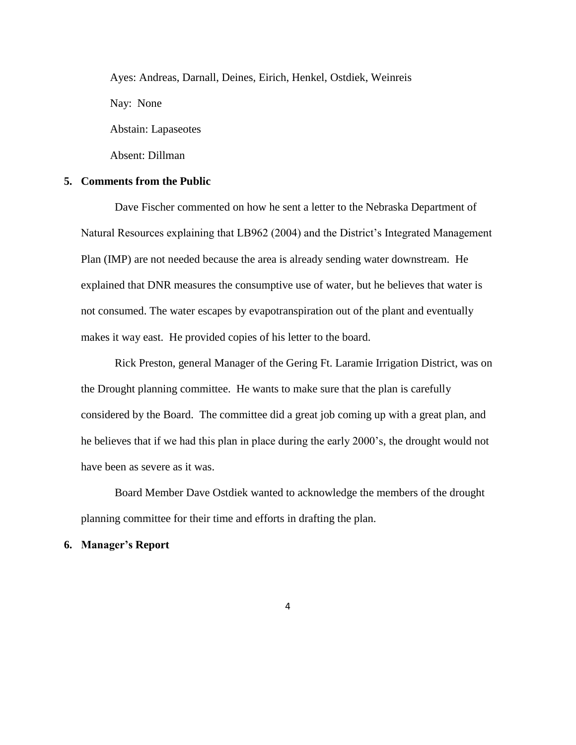Ayes: Andreas, Darnall, Deines, Eirich, Henkel, Ostdiek, Weinreis Nay: None Abstain: Lapaseotes

Absent: Dillman

### **5. Comments from the Public**

Dave Fischer commented on how he sent a letter to the Nebraska Department of Natural Resources explaining that LB962 (2004) and the District's Integrated Management Plan (IMP) are not needed because the area is already sending water downstream. He explained that DNR measures the consumptive use of water, but he believes that water is not consumed. The water escapes by evapotranspiration out of the plant and eventually makes it way east. He provided copies of his letter to the board.

Rick Preston, general Manager of the Gering Ft. Laramie Irrigation District, was on the Drought planning committee. He wants to make sure that the plan is carefully considered by the Board. The committee did a great job coming up with a great plan, and he believes that if we had this plan in place during the early 2000's, the drought would not have been as severe as it was.

Board Member Dave Ostdiek wanted to acknowledge the members of the drought planning committee for their time and efforts in drafting the plan.

#### **6. Manager's Report**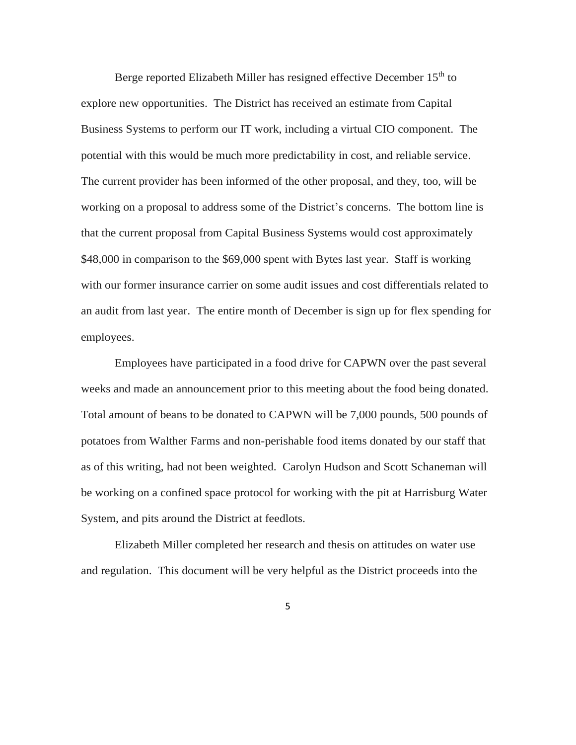Berge reported Elizabeth Miller has resigned effective December  $15<sup>th</sup>$  to explore new opportunities. The District has received an estimate from Capital Business Systems to perform our IT work, including a virtual CIO component. The potential with this would be much more predictability in cost, and reliable service. The current provider has been informed of the other proposal, and they, too, will be working on a proposal to address some of the District's concerns. The bottom line is that the current proposal from Capital Business Systems would cost approximately \$48,000 in comparison to the \$69,000 spent with Bytes last year. Staff is working with our former insurance carrier on some audit issues and cost differentials related to an audit from last year. The entire month of December is sign up for flex spending for employees.

Employees have participated in a food drive for CAPWN over the past several weeks and made an announcement prior to this meeting about the food being donated. Total amount of beans to be donated to CAPWN will be 7,000 pounds, 500 pounds of potatoes from Walther Farms and non-perishable food items donated by our staff that as of this writing, had not been weighted. Carolyn Hudson and Scott Schaneman will be working on a confined space protocol for working with the pit at Harrisburg Water System, and pits around the District at feedlots.

Elizabeth Miller completed her research and thesis on attitudes on water use and regulation. This document will be very helpful as the District proceeds into the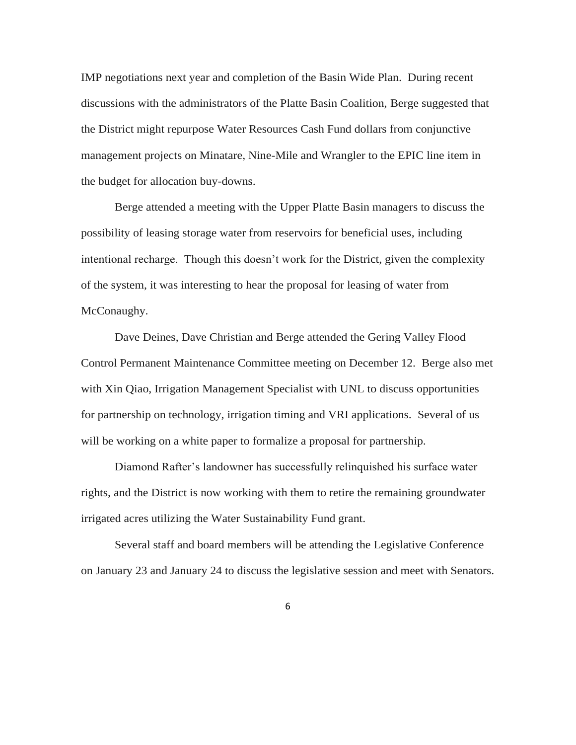IMP negotiations next year and completion of the Basin Wide Plan. During recent discussions with the administrators of the Platte Basin Coalition, Berge suggested that the District might repurpose Water Resources Cash Fund dollars from conjunctive management projects on Minatare, Nine-Mile and Wrangler to the EPIC line item in the budget for allocation buy-downs.

Berge attended a meeting with the Upper Platte Basin managers to discuss the possibility of leasing storage water from reservoirs for beneficial uses, including intentional recharge. Though this doesn't work for the District, given the complexity of the system, it was interesting to hear the proposal for leasing of water from McConaughy.

Dave Deines, Dave Christian and Berge attended the Gering Valley Flood Control Permanent Maintenance Committee meeting on December 12. Berge also met with Xin Qiao, Irrigation Management Specialist with UNL to discuss opportunities for partnership on technology, irrigation timing and VRI applications. Several of us will be working on a white paper to formalize a proposal for partnership.

Diamond Rafter's landowner has successfully relinquished his surface water rights, and the District is now working with them to retire the remaining groundwater irrigated acres utilizing the Water Sustainability Fund grant.

Several staff and board members will be attending the Legislative Conference on January 23 and January 24 to discuss the legislative session and meet with Senators.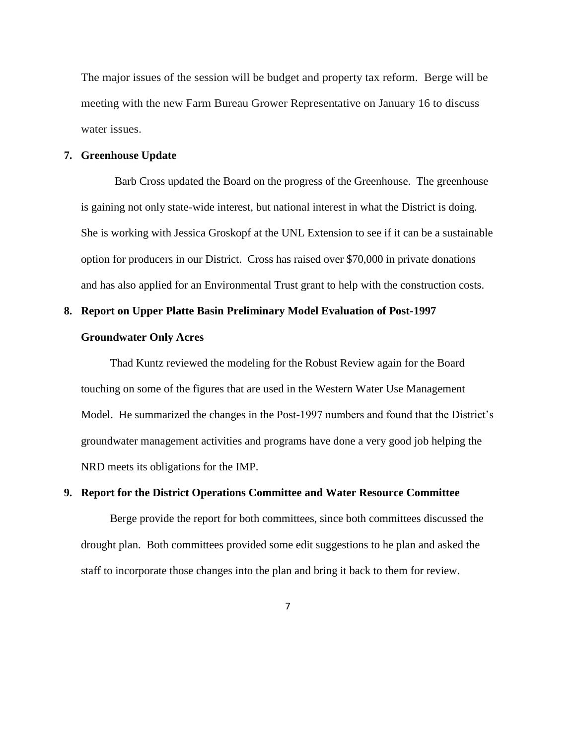The major issues of the session will be budget and property tax reform. Berge will be meeting with the new Farm Bureau Grower Representative on January 16 to discuss water issues.

#### **7. Greenhouse Update**

Barb Cross updated the Board on the progress of the Greenhouse. The greenhouse is gaining not only state-wide interest, but national interest in what the District is doing. She is working with Jessica Groskopf at the UNL Extension to see if it can be a sustainable option for producers in our District. Cross has raised over \$70,000 in private donations and has also applied for an Environmental Trust grant to help with the construction costs.

### **8. Report on Upper Platte Basin Preliminary Model Evaluation of Post-1997**

### **Groundwater Only Acres**

Thad Kuntz reviewed the modeling for the Robust Review again for the Board touching on some of the figures that are used in the Western Water Use Management Model. He summarized the changes in the Post-1997 numbers and found that the District's groundwater management activities and programs have done a very good job helping the NRD meets its obligations for the IMP.

# **9. Report for the District Operations Committee and Water Resource Committee**

Berge provide the report for both committees, since both committees discussed the drought plan. Both committees provided some edit suggestions to he plan and asked the staff to incorporate those changes into the plan and bring it back to them for review.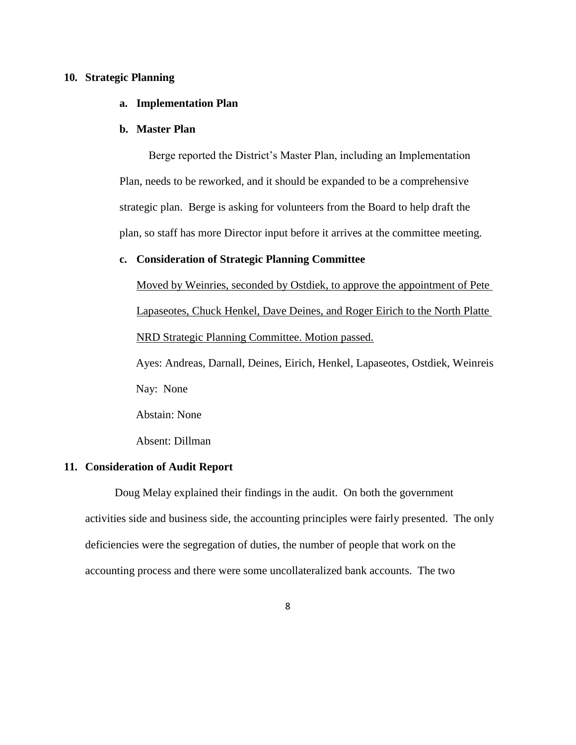### **10. Strategic Planning**

# **a. Implementation Plan**

## **b. Master Plan**

Berge reported the District's Master Plan, including an Implementation Plan, needs to be reworked, and it should be expanded to be a comprehensive strategic plan. Berge is asking for volunteers from the Board to help draft the plan, so staff has more Director input before it arrives at the committee meeting.

## **c. Consideration of Strategic Planning Committee**

Moved by Weinries, seconded by Ostdiek, to approve the appointment of Pete Lapaseotes, Chuck Henkel, Dave Deines, and Roger Eirich to the North Platte NRD Strategic Planning Committee. Motion passed.

Ayes: Andreas, Darnall, Deines, Eirich, Henkel, Lapaseotes, Ostdiek, Weinreis Nay: None

Abstain: None

Absent: Dillman

#### **11. Consideration of Audit Report**

Doug Melay explained their findings in the audit. On both the government activities side and business side, the accounting principles were fairly presented. The only deficiencies were the segregation of duties, the number of people that work on the accounting process and there were some uncollateralized bank accounts. The two